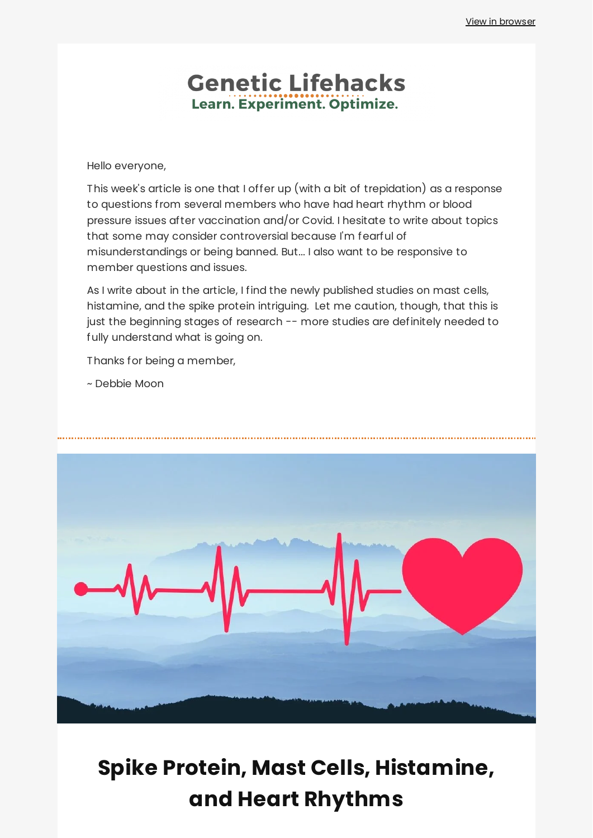# **Genetic Lifehacks** Learn. Experiment. Optimize.

Hello everyone,

This week's article is one that I offer up (with a bit of trepidation) as a response to questions from several members who have had heart rhythm or blood pressure issues after vaccination and/or Covid. I hesitate to write about topics that some may consider controversial because I'm fearful of misunderstandings or being banned. But... I also want to be responsive to member questions and issues.

As I write about in the article, I find the newly published studies on mast cells, histamine, and the spike protein intriguing. Let me caution, though, that this is just the beginning stages of research -- more studies are definitely needed to fully understand what is going on.

Thanks for being a member,

~ Debbie Moon



# **Spike Protein, Mast Cells, [Histamine,](https://www.geneticlifehacks.com/spike-protein-mast-cells-histamine-and-heart-rhythms/) and Heart Rhythms**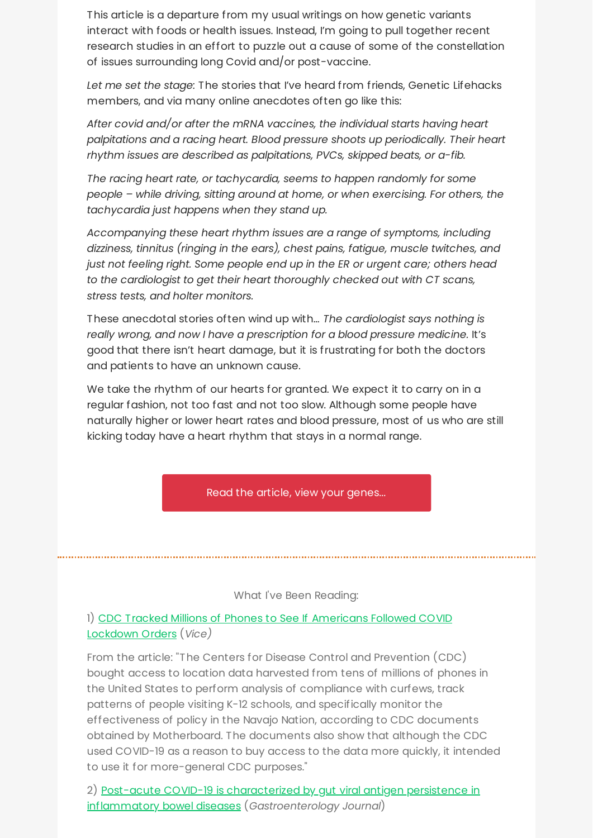This article is a departure from my usual writings on how genetic variants interact with foods or health issues. Instead, I'm going to pull together recent research studies in an effort to puzzle out a cause of some of the constellation of issues surrounding long Covid and/or post-vaccine.

*Let me set the stage:* The stories that I've heard from friends, Genetic Lifehacks members, and via many online anecdotes often go like this:

*After covid and/or after the mRNA vaccines, the individual starts having heart palpitations and a racing heart. Blood pressure shoots up periodically. Their heart rhythm issues are described as palpitations, PVCs, skipped beats, or a-fib.*

*The racing heart rate, or tachycardia, seems to happen randomly for some people – while driving, sitting around at home, or when exercising. For others, the tachycardia just happens when they stand up.*

*Accompanying these heart rhythm issues are a range of symptoms, including dizziness, tinnitus (ringing in the ears), chest pains, fatigue, muscle twitches, and just not feeling right. Some people end up in the ER or urgent care; others head to the cardiologist to get their heart thoroughly checked out with CT scans, stress tests, and holter monitors.*

These anecdotal stories often wind up with… *The cardiologist says nothing is really wrong, and now I have a prescription for a blood pressure medicine.* It's good that there isn't heart damage, but it is frustrating for both the doctors and patients to have an unknown cause.

We take the rhythm of our hearts for granted. We expect it to carry on in a regular fashion, not too fast and not too slow. Although some people have naturally higher or lower heart rates and blood pressure, most of us who are still kicking today have a heart rhythm that stays in a normal range.

Read the article, view your [genes...](https://www.geneticlifehacks.com/spike-protein-mast-cells-histamine-and-heart-rhythms/)

#### What I've Been Reading:

1) CDC Tracked Millions of Phones to See If [Americans](https://www.vice.com/en/article/m7vymn/cdc-tracked-phones-location-data-curfews) Followed COVID Lockdown Orders (*Vice)*

From the article: "The Centers for Disease Control and Prevention (CDC) bought access to location data harvested from tens of millions of phones in the United States to perform analysis of compliance with curfews, track patterns of people visiting K-12 schools, and specifically monitor the effectiveness of policy in the Navajo Nation, according to CDC documents obtained by Motherboard. The documents also show that although the CDC used COVID-19 as a reason to buy access to the data more quickly, it intended to use it for more-general CDC purposes."

2) Post-acute COVID-19 is characterized by gut viral antigen persistence in inflammatory bowel diseases (*[Gastroenterology](https://www.gastrojournal.org/article/S0016-5085(22)00450-4/fulltext) Journal*)